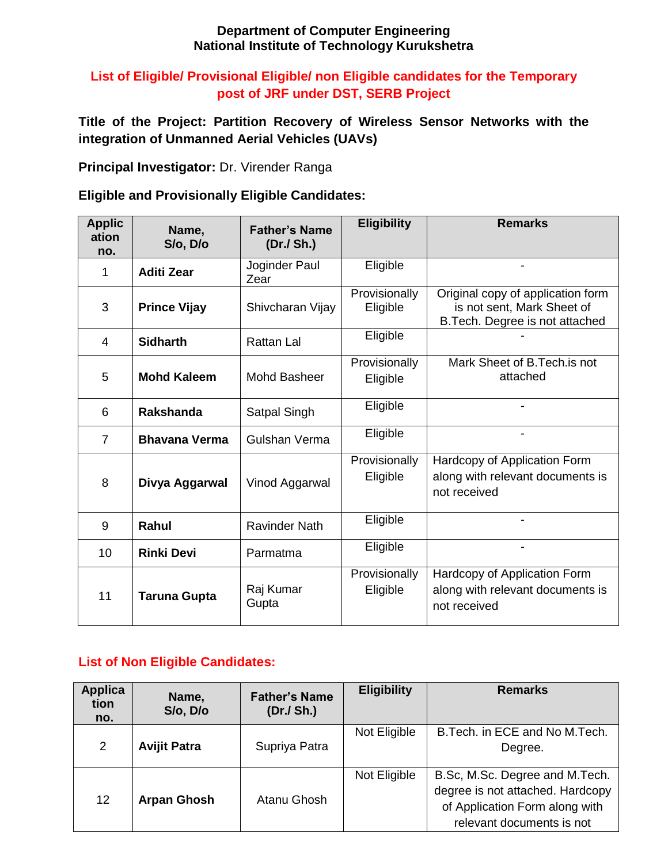#### **Department of Computer Engineering National Institute of Technology Kurukshetra**

## **List of Eligible/ Provisional Eligible/ non Eligible candidates for the Temporary post of JRF under DST, SERB Project**

**Title of the Project: Partition Recovery of Wireless Sensor Networks with the integration of Unmanned Aerial Vehicles (UAVs)**

**Principal Investigator:** Dr. Virender Ranga

## **Eligible and Provisionally Eligible Candidates:**

| <b>Applic</b><br>ation<br>no. | Name,<br>S/o, D/o    | <b>Father's Name</b><br>(Dr./ Sh.) | <b>Eligibility</b>        | <b>Remarks</b>                                                                                     |
|-------------------------------|----------------------|------------------------------------|---------------------------|----------------------------------------------------------------------------------------------------|
| 1                             | <b>Aditi Zear</b>    | Joginder Paul<br>Zear              | Eligible                  |                                                                                                    |
| 3                             | <b>Prince Vijay</b>  | Shivcharan Vijay                   | Provisionally<br>Eligible | Original copy of application form<br>is not sent, Mark Sheet of<br>B. Tech. Degree is not attached |
| 4                             | <b>Sidharth</b>      | <b>Rattan Lal</b>                  | Eligible                  |                                                                                                    |
| 5                             | <b>Mohd Kaleem</b>   | <b>Mohd Basheer</b>                | Provisionally<br>Eligible | Mark Sheet of B. Tech. is not<br>attached                                                          |
| 6                             | <b>Rakshanda</b>     | Satpal Singh                       | Eligible                  |                                                                                                    |
| $\overline{7}$                | <b>Bhavana Verma</b> | Gulshan Verma                      | Eligible                  | $\overline{\phantom{0}}$                                                                           |
| 8                             | Divya Aggarwal       | Vinod Aggarwal                     | Provisionally<br>Eligible | Hardcopy of Application Form<br>along with relevant documents is<br>not received                   |
| 9                             | <b>Rahul</b>         | <b>Ravinder Nath</b>               | Eligible                  |                                                                                                    |
| 10                            | <b>Rinki Devi</b>    | Parmatma                           | Eligible                  |                                                                                                    |
| 11                            | <b>Taruna Gupta</b>  | Raj Kumar<br>Gupta                 | Provisionally<br>Eligible | Hardcopy of Application Form<br>along with relevant documents is<br>not received                   |

# **List of Non Eligible Candidates:**

| <b>Applica</b><br>tion<br>no. | Name,<br>$S$ /o, $D$ /o | <b>Father's Name</b><br>(Dr./ Sh.) | <b>Eligibility</b> | <b>Remarks</b>                                                                                                                    |
|-------------------------------|-------------------------|------------------------------------|--------------------|-----------------------------------------------------------------------------------------------------------------------------------|
| $\overline{2}$                | <b>Avijit Patra</b>     | Supriya Patra                      | Not Eligible       | B. Tech. in ECE and No M. Tech.<br>Degree.                                                                                        |
| $12 \overline{ }$             | <b>Arpan Ghosh</b>      | Atanu Ghosh                        | Not Eligible       | B.Sc, M.Sc. Degree and M.Tech.<br>degree is not attached. Hardcopy<br>of Application Form along with<br>relevant documents is not |